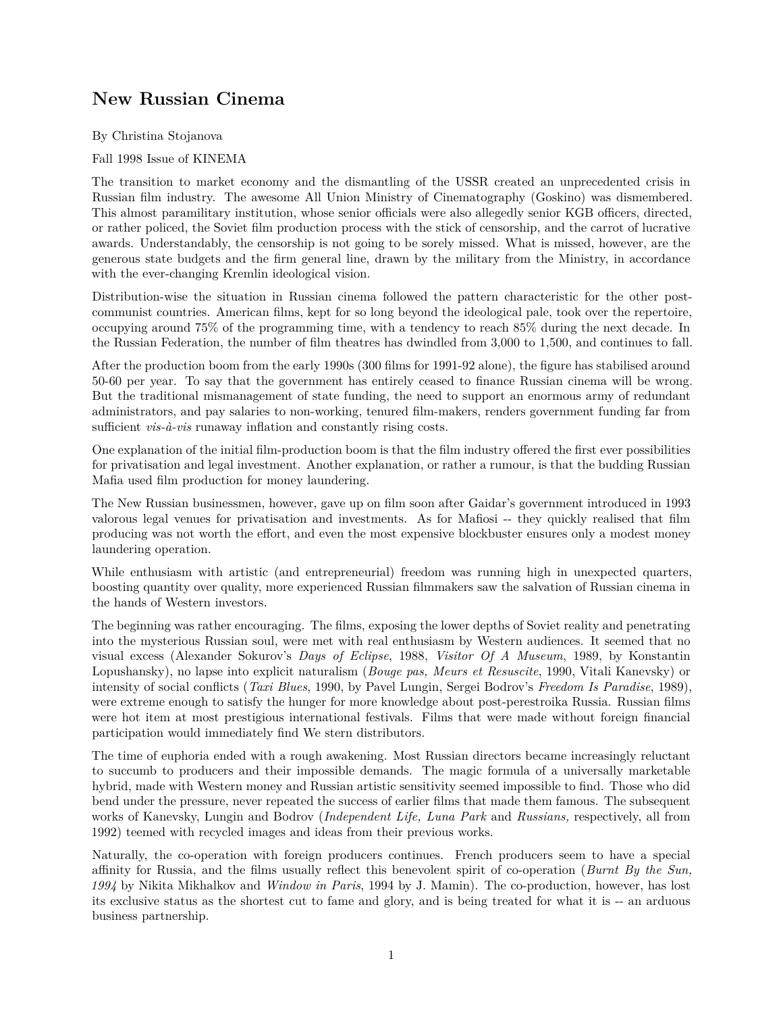# **New Russian Cinema**

By Christina Stojanova

### Fall 1998 Issue of KINEMA

The transition to market economy and the dismantling of the USSR created an unprecedented crisis in Russian film industry. The awesome All Union Ministry of Cinematography (Goskino) was dismembered. This almost paramilitary institution, whose senior officials were also allegedly senior KGB officers, directed, or rather policed, the Soviet film production process with the stick of censorship, and the carrot of lucrative awards. Understandably, the censorship is not going to be sorely missed. What is missed, however, are the generous state budgets and the firm general line, drawn by the military from the Ministry, in accordance with the ever-changing Kremlin ideological vision.

Distribution-wise the situation in Russian cinema followed the pattern characteristic for the other postcommunist countries. American films, kept for so long beyond the ideological pale, took over the repertoire, occupying around 75% of the programming time, with a tendency to reach 85% during the next decade. In the Russian Federation, the number of film theatres has dwindled from 3,000 to 1,500, and continues to fall.

After the production boom from the early 1990s (300 films for 1991-92 alone), the figure has stabilised around 50-60 per year. To say that the government has entirely ceased to finance Russian cinema will be wrong. But the traditional mismanagement of state funding, the need to support an enormous army of redundant administrators, and pay salaries to non-working, tenured film-makers, renders government funding far from sufficient *vis-à-vis* runaway inflation and constantly rising costs.

One explanation of the initial film-production boom is that the film industry offered the first ever possibilities for privatisation and legal investment. Another explanation, or rather a rumour, is that the budding Russian Mafia used film production for money laundering.

The New Russian businessmen, however, gave up on film soon after Gaidar's government introduced in 1993 valorous legal venues for privatisation and investments. As for Mafiosi -- they quickly realised that film producing was not worth the effort, and even the most expensive blockbuster ensures only a modest money laundering operation.

While enthusiasm with artistic (and entrepreneurial) freedom was running high in unexpected quarters, boosting quantity over quality, more experienced Russian filmmakers saw the salvation of Russian cinema in the hands of Western investors.

The beginning was rather encouraging. The films, exposing the lower depths of Soviet reality and penetrating into the mysterious Russian soul, were met with real enthusiasm by Western audiences. It seemed that no visual excess (Alexander Sokurov's *Days of Eclipse*, 1988, *Visitor Of A Museum*, 1989, by Konstantin Lopushansky), no lapse into explicit naturalism (*Bouge pas, Meurs et Resuscite*, 1990, Vitali Kanevsky) or intensity of social conflicts (*Taxi Blues*, 1990, by Pavel Lungin, Sergei Bodrov's *Freedom Is Paradise*, 1989), were extreme enough to satisfy the hunger for more knowledge about post-perestroika Russia. Russian films were hot item at most prestigious international festivals. Films that were made without foreign financial participation would immediately find We stern distributors.

The time of euphoria ended with a rough awakening. Most Russian directors became increasingly reluctant to succumb to producers and their impossible demands. The magic formula of a universally marketable hybrid, made with Western money and Russian artistic sensitivity seemed impossible to find. Those who did bend under the pressure, never repeated the success of earlier films that made them famous. The subsequent works of Kanevsky, Lungin and Bodrov (*Independent Life, Luna Park* and *Russians,* respectively, all from 1992) teemed with recycled images and ideas from their previous works.

Naturally, the co-operation with foreign producers continues. French producers seem to have a special affinity for Russia, and the films usually reflect this benevolent spirit of co-operation (*Burnt By the Sun, 1994* by Nikita Mikhalkov and *Window in Paris*, 1994 by J. Mamin). The co-production, however, has lost its exclusive status as the shortest cut to fame and glory, and is being treated for what it is -- an arduous business partnership.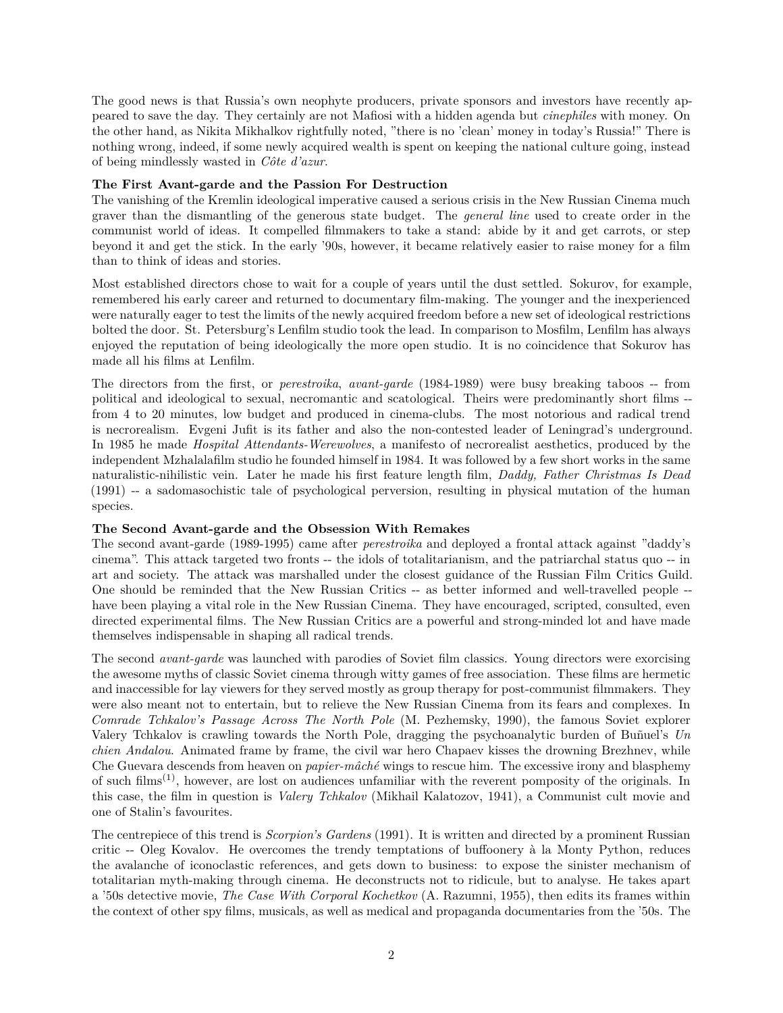The good news is that Russia's own neophyte producers, private sponsors and investors have recently appeared to save the day. They certainly are not Mafiosi with a hidden agenda but *cinephiles* with money. On the other hand, as Nikita Mikhalkov rightfully noted, "there is no 'clean' money in today's Russia!" There is nothing wrong, indeed, if some newly acquired wealth is spent on keeping the national culture going, instead of being mindlessly wasted in *Côte d'azur*.

### **The First Avant-garde and the Passion For Destruction**

The vanishing of the Kremlin ideological imperative caused a serious crisis in the New Russian Cinema much graver than the dismantling of the generous state budget. The *general line* used to create order in the communist world of ideas. It compelled filmmakers to take a stand: abide by it and get carrots, or step beyond it and get the stick. In the early '90s, however, it became relatively easier to raise money for a film than to think of ideas and stories.

Most established directors chose to wait for a couple of years until the dust settled. Sokurov, for example, remembered his early career and returned to documentary film-making. The younger and the inexperienced were naturally eager to test the limits of the newly acquired freedom before a new set of ideological restrictions bolted the door. St. Petersburg's Lenfilm studio took the lead. In comparison to Mosfilm, Lenfilm has always enjoyed the reputation of being ideologically the more open studio. It is no coincidence that Sokurov has made all his films at Lenfilm.

The directors from the first, or *perestroika*, *avant-garde* (1984-1989) were busy breaking taboos -- from political and ideological to sexual, necromantic and scatological. Theirs were predominantly short films - from 4 to 20 minutes, low budget and produced in cinema-clubs. The most notorious and radical trend is necrorealism. Evgeni Jufit is its father and also the non-contested leader of Leningrad's underground. In 1985 he made *Hospital Attendants-Werewolves*, a manifesto of necrorealist aesthetics, produced by the independent Mzhalalafilm studio he founded himself in 1984. It was followed by a few short works in the same naturalistic-nihilistic vein. Later he made his first feature length film, *Daddy, Father Christmas Is Dead* (1991) -- a sadomasochistic tale of psychological perversion, resulting in physical mutation of the human species.

# **The Second Avant-garde and the Obsession With Remakes**

The second avant-garde (1989-1995) came after *perestroika* and deployed a frontal attack against "daddy's cinema". This attack targeted two fronts -- the idols of totalitarianism, and the patriarchal status quo -- in art and society. The attack was marshalled under the closest guidance of the Russian Film Critics Guild. One should be reminded that the New Russian Critics -- as better informed and well-travelled people - have been playing a vital role in the New Russian Cinema. They have encouraged, scripted, consulted, even directed experimental films. The New Russian Critics are a powerful and strong-minded lot and have made themselves indispensable in shaping all radical trends.

The second *avant-garde* was launched with parodies of Soviet film classics. Young directors were exorcising the awesome myths of classic Soviet cinema through witty games of free association. These films are hermetic and inaccessible for lay viewers for they served mostly as group therapy for post-communist filmmakers. They were also meant not to entertain, but to relieve the New Russian Cinema from its fears and complexes. In *Comrade Tchkalov's Passage Across The North Pole* (M. Pezhemsky, 1990), the famous Soviet explorer Valery Tchkalov is crawling towards the North Pole, dragging the psychoanalytic burden of Buñuel's *Un chien Andalou*. Animated frame by frame, the civil war hero Chapaev kisses the drowning Brezhnev, while Che Guevara descends from heaven on *papier-mâché* wings to rescue him. The excessive irony and blasphemy of such films<sup> $(1)$ </sup>, however, are lost on audiences unfamiliar with the reverent pomposity of the originals. In this case, the film in question is *Valery Tchkalov* (Mikhail Kalatozov, 1941), a Communist cult movie and one of Stalin's favourites.

The centrepiece of this trend is *Scorpion's Gardens* (1991). It is written and directed by a prominent Russian critic -- Oleg Kovalov. He overcomes the trendy temptations of buffoonery à la Monty Python, reduces the avalanche of iconoclastic references, and gets down to business: to expose the sinister mechanism of totalitarian myth-making through cinema. He deconstructs not to ridicule, but to analyse. He takes apart a '50s detective movie, *The Case With Corporal Kochetkov* (A. Razumni, 1955), then edits its frames within the context of other spy films, musicals, as well as medical and propaganda documentaries from the '50s. The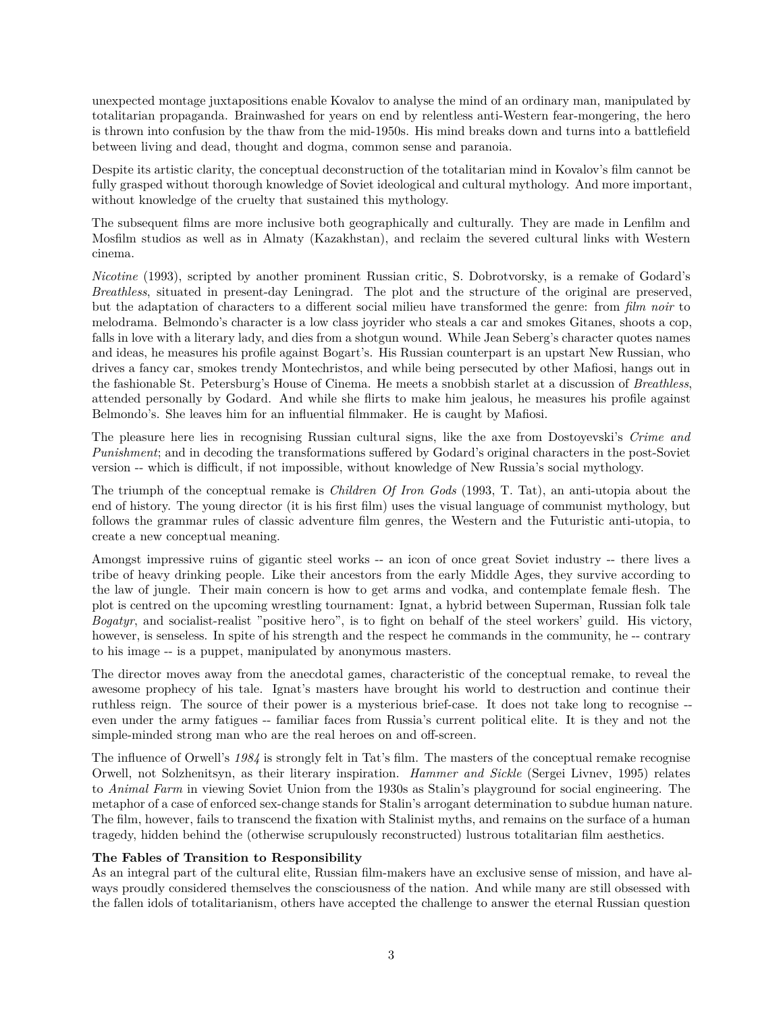unexpected montage juxtapositions enable Kovalov to analyse the mind of an ordinary man, manipulated by totalitarian propaganda. Brainwashed for years on end by relentless anti-Western fear-mongering, the hero is thrown into confusion by the thaw from the mid-1950s. His mind breaks down and turns into a battlefield between living and dead, thought and dogma, common sense and paranoia.

Despite its artistic clarity, the conceptual deconstruction of the totalitarian mind in Kovalov's film cannot be fully grasped without thorough knowledge of Soviet ideological and cultural mythology. And more important, without knowledge of the cruelty that sustained this mythology.

The subsequent films are more inclusive both geographically and culturally. They are made in Lenfilm and Mosfilm studios as well as in Almaty (Kazakhstan), and reclaim the severed cultural links with Western cinema.

*Nicotine* (1993), scripted by another prominent Russian critic, S. Dobrotvorsky, is a remake of Godard's *Breathless*, situated in present-day Leningrad. The plot and the structure of the original are preserved, but the adaptation of characters to a different social milieu have transformed the genre: from *film noir* to melodrama. Belmondo's character is a low class joyrider who steals a car and smokes Gitanes, shoots a cop, falls in love with a literary lady, and dies from a shotgun wound. While Jean Seberg's character quotes names and ideas, he measures his profile against Bogart's. His Russian counterpart is an upstart New Russian, who drives a fancy car, smokes trendy Montechristos, and while being persecuted by other Mafiosi, hangs out in the fashionable St. Petersburg's House of Cinema. He meets a snobbish starlet at a discussion of *Breathless*, attended personally by Godard. And while she flirts to make him jealous, he measures his profile against Belmondo's. She leaves him for an influential filmmaker. He is caught by Mafiosi.

The pleasure here lies in recognising Russian cultural signs, like the axe from Dostoyevski's *Crime and Punishment*; and in decoding the transformations suffered by Godard's original characters in the post-Soviet version -- which is difficult, if not impossible, without knowledge of New Russia's social mythology.

The triumph of the conceptual remake is *Children Of Iron Gods* (1993, T. Tat), an anti-utopia about the end of history. The young director (it is his first film) uses the visual language of communist mythology, but follows the grammar rules of classic adventure film genres, the Western and the Futuristic anti-utopia, to create a new conceptual meaning.

Amongst impressive ruins of gigantic steel works -- an icon of once great Soviet industry -- there lives a tribe of heavy drinking people. Like their ancestors from the early Middle Ages, they survive according to the law of jungle. Their main concern is how to get arms and vodka, and contemplate female flesh. The plot is centred on the upcoming wrestling tournament: Ignat, a hybrid between Superman, Russian folk tale *Bogatyr*, and socialist-realist "positive hero", is to fight on behalf of the steel workers' guild. His victory, however, is senseless. In spite of his strength and the respect he commands in the community, he-contrary to his image -- is a puppet, manipulated by anonymous masters.

The director moves away from the anecdotal games, characteristic of the conceptual remake, to reveal the awesome prophecy of his tale. Ignat's masters have brought his world to destruction and continue their ruthless reign. The source of their power is a mysterious brief-case. It does not take long to recognise - even under the army fatigues -- familiar faces from Russia's current political elite. It is they and not the simple-minded strong man who are the real heroes on and off-screen.

The influence of Orwell's *1984* is strongly felt in Tat's film. The masters of the conceptual remake recognise Orwell, not Solzhenitsyn, as their literary inspiration. *Hammer and Sickle* (Sergei Livnev, 1995) relates to *Animal Farm* in viewing Soviet Union from the 1930s as Stalin's playground for social engineering. The metaphor of a case of enforced sex-change stands for Stalin's arrogant determination to subdue human nature. The film, however, fails to transcend the fixation with Stalinist myths, and remains on the surface of a human tragedy, hidden behind the (otherwise scrupulously reconstructed) lustrous totalitarian film aesthetics.

# **The Fables of Transition to Responsibility**

As an integral part of the cultural elite, Russian film-makers have an exclusive sense of mission, and have always proudly considered themselves the consciousness of the nation. And while many are still obsessed with the fallen idols of totalitarianism, others have accepted the challenge to answer the eternal Russian question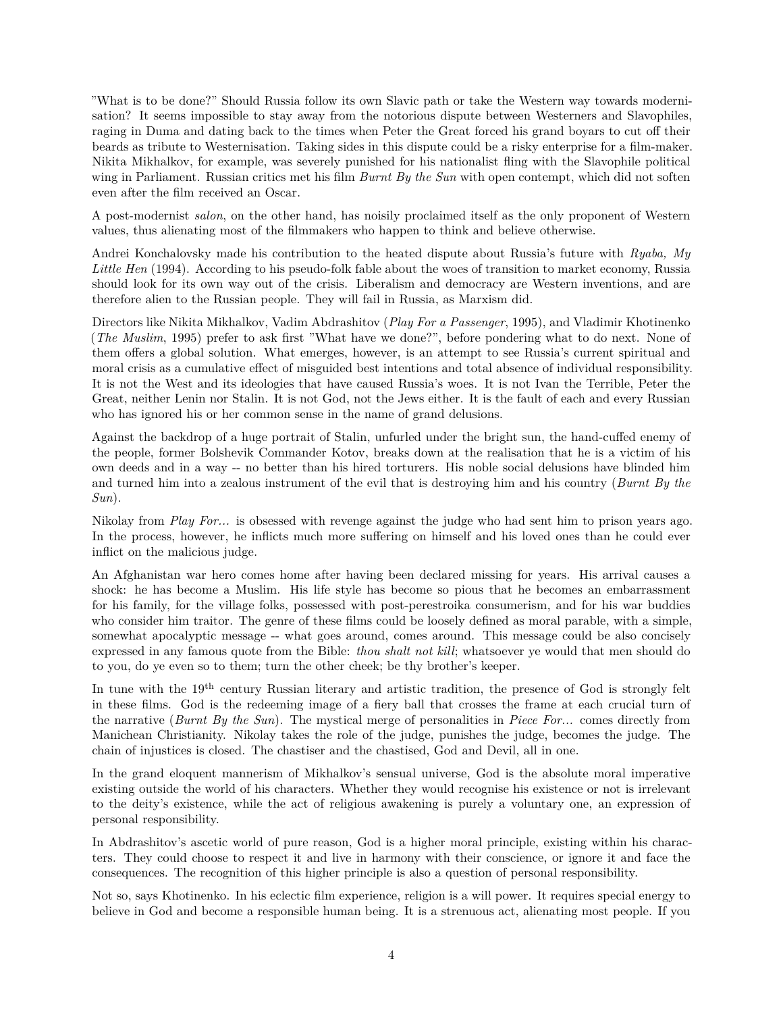"What is to be done?" Should Russia follow its own Slavic path or take the Western way towards modernisation? It seems impossible to stay away from the notorious dispute between Westerners and Slavophiles, raging in Duma and dating back to the times when Peter the Great forced his grand boyars to cut off their beards as tribute to Westernisation. Taking sides in this dispute could be a risky enterprise for a film-maker. Nikita Mikhalkov, for example, was severely punished for his nationalist fling with the Slavophile political wing in Parliament. Russian critics met his film *Burnt By the Sun* with open contempt, which did not soften even after the film received an Oscar.

A post-modernist *salon*, on the other hand, has noisily proclaimed itself as the only proponent of Western values, thus alienating most of the filmmakers who happen to think and believe otherwise.

Andrei Konchalovsky made his contribution to the heated dispute about Russia's future with *Ryaba, My Little Hen* (1994). According to his pseudo-folk fable about the woes of transition to market economy, Russia should look for its own way out of the crisis. Liberalism and democracy are Western inventions, and are therefore alien to the Russian people. They will fail in Russia, as Marxism did.

Directors like Nikita Mikhalkov, Vadim Abdrashitov (*Play For a Passenger*, 1995), and Vladimir Khotinenko (*The Muslim*, 1995) prefer to ask first "What have we done?", before pondering what to do next. None of them offers a global solution. What emerges, however, is an attempt to see Russia's current spiritual and moral crisis as a cumulative effect of misguided best intentions and total absence of individual responsibility. It is not the West and its ideologies that have caused Russia's woes. It is not Ivan the Terrible, Peter the Great, neither Lenin nor Stalin. It is not God, not the Jews either. It is the fault of each and every Russian who has ignored his or her common sense in the name of grand delusions.

Against the backdrop of a huge portrait of Stalin, unfurled under the bright sun, the hand-cuffed enemy of the people, former Bolshevik Commander Kotov, breaks down at the realisation that he is a victim of his own deeds and in a way -- no better than his hired torturers. His noble social delusions have blinded him and turned him into a zealous instrument of the evil that is destroying him and his country (*Burnt By the Sun*).

Nikolay from *Play For...* is obsessed with revenge against the judge who had sent him to prison years ago. In the process, however, he inflicts much more suffering on himself and his loved ones than he could ever inflict on the malicious judge.

An Afghanistan war hero comes home after having been declared missing for years. His arrival causes a shock: he has become a Muslim. His life style has become so pious that he becomes an embarrassment for his family, for the village folks, possessed with post-perestroika consumerism, and for his war buddies who consider him traitor. The genre of these films could be loosely defined as moral parable, with a simple, somewhat apocalyptic message -- what goes around, comes around. This message could be also concisely expressed in any famous quote from the Bible: *thou shalt not kill*; whatsoever ye would that men should do to you, do ye even so to them; turn the other cheek; be thy brother's keeper.

In tune with the 19<sup>th</sup> century Russian literary and artistic tradition, the presence of God is strongly felt in these films. God is the redeeming image of a fiery ball that crosses the frame at each crucial turn of the narrative (*Burnt By the Sun*). The mystical merge of personalities in *Piece For...* comes directly from Manichean Christianity. Nikolay takes the role of the judge, punishes the judge, becomes the judge. The chain of injustices is closed. The chastiser and the chastised, God and Devil, all in one.

In the grand eloquent mannerism of Mikhalkov's sensual universe, God is the absolute moral imperative existing outside the world of his characters. Whether they would recognise his existence or not is irrelevant to the deity's existence, while the act of religious awakening is purely a voluntary one, an expression of personal responsibility.

In Abdrashitov's ascetic world of pure reason, God is a higher moral principle, existing within his characters. They could choose to respect it and live in harmony with their conscience, or ignore it and face the consequences. The recognition of this higher principle is also a question of personal responsibility.

Not so, says Khotinenko. In his eclectic film experience, religion is a will power. It requires special energy to believe in God and become a responsible human being. It is a strenuous act, alienating most people. If you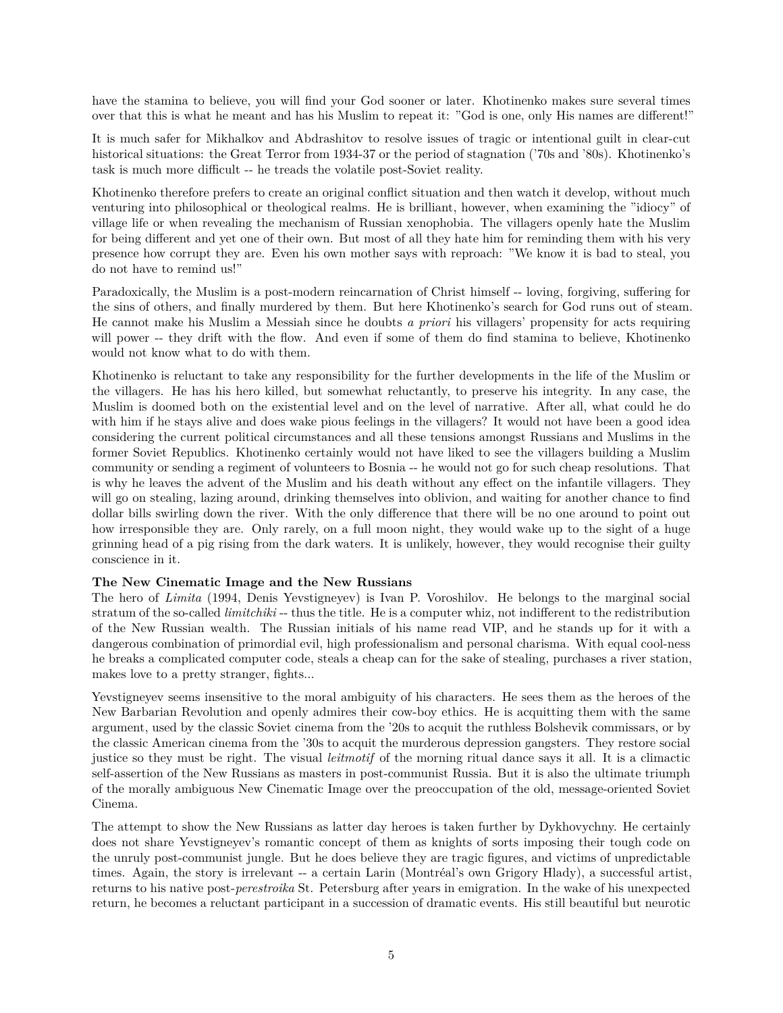have the stamina to believe, you will find your God sooner or later. Khotinenko makes sure several times over that this is what he meant and has his Muslim to repeat it: "God is one, only His names are different!"

It is much safer for Mikhalkov and Abdrashitov to resolve issues of tragic or intentional guilt in clear-cut historical situations: the Great Terror from 1934-37 or the period of stagnation ('70s and '80s). Khotinenko's task is much more difficult -- he treads the volatile post-Soviet reality.

Khotinenko therefore prefers to create an original conflict situation and then watch it develop, without much venturing into philosophical or theological realms. He is brilliant, however, when examining the "idiocy" of village life or when revealing the mechanism of Russian xenophobia. The villagers openly hate the Muslim for being different and yet one of their own. But most of all they hate him for reminding them with his very presence how corrupt they are. Even his own mother says with reproach: "We know it is bad to steal, you do not have to remind us!"

Paradoxically, the Muslim is a post-modern reincarnation of Christ himself -- loving, forgiving, suffering for the sins of others, and finally murdered by them. But here Khotinenko's search for God runs out of steam. He cannot make his Muslim a Messiah since he doubts *a priori* his villagers' propensity for acts requiring will power -- they drift with the flow. And even if some of them do find stamina to believe, Khotinenko would not know what to do with them.

Khotinenko is reluctant to take any responsibility for the further developments in the life of the Muslim or the villagers. He has his hero killed, but somewhat reluctantly, to preserve his integrity. In any case, the Muslim is doomed both on the existential level and on the level of narrative. After all, what could he do with him if he stays alive and does wake pious feelings in the villagers? It would not have been a good idea considering the current political circumstances and all these tensions amongst Russians and Muslims in the former Soviet Republics. Khotinenko certainly would not have liked to see the villagers building a Muslim community or sending a regiment of volunteers to Bosnia -- he would not go for such cheap resolutions. That is why he leaves the advent of the Muslim and his death without any effect on the infantile villagers. They will go on stealing, lazing around, drinking themselves into oblivion, and waiting for another chance to find dollar bills swirling down the river. With the only difference that there will be no one around to point out how irresponsible they are. Only rarely, on a full moon night, they would wake up to the sight of a huge grinning head of a pig rising from the dark waters. It is unlikely, however, they would recognise their guilty conscience in it.

# **The New Cinematic Image and the New Russians**

The hero of *Limita* (1994, Denis Yevstigneyev) is Ivan P. Voroshilov. He belongs to the marginal social stratum of the so-called *limitchiki* -- thus the title. He is a computer whiz, not indifferent to the redistribution of the New Russian wealth. The Russian initials of his name read VIP, and he stands up for it with a dangerous combination of primordial evil, high professionalism and personal charisma. With equal cool-ness he breaks a complicated computer code, steals a cheap can for the sake of stealing, purchases a river station, makes love to a pretty stranger, fights...

Yevstigneyev seems insensitive to the moral ambiguity of his characters. He sees them as the heroes of the New Barbarian Revolution and openly admires their cow-boy ethics. He is acquitting them with the same argument, used by the classic Soviet cinema from the '20s to acquit the ruthless Bolshevik commissars, or by the classic American cinema from the '30s to acquit the murderous depression gangsters. They restore social justice so they must be right. The visual *leitmotif* of the morning ritual dance says it all. It is a climactic self-assertion of the New Russians as masters in post-communist Russia. But it is also the ultimate triumph of the morally ambiguous New Cinematic Image over the preoccupation of the old, message-oriented Soviet Cinema.

The attempt to show the New Russians as latter day heroes is taken further by Dykhovychny. He certainly does not share Yevstigneyev's romantic concept of them as knights of sorts imposing their tough code on the unruly post-communist jungle. But he does believe they are tragic figures, and victims of unpredictable times. Again, the story is irrelevant -- a certain Larin (Montréal's own Grigory Hlady), a successful artist, returns to his native post-*perestroika* St. Petersburg after years in emigration. In the wake of his unexpected return, he becomes a reluctant participant in a succession of dramatic events. His still beautiful but neurotic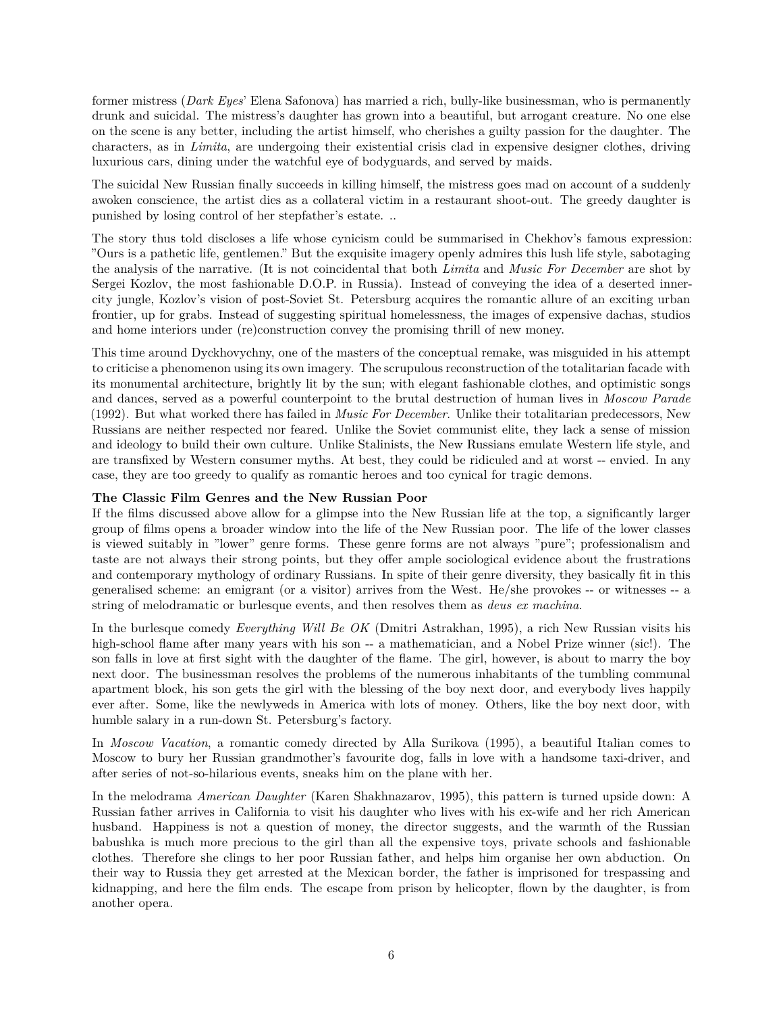former mistress (*Dark Eyes*' Elena Safonova) has married a rich, bully-like businessman, who is permanently drunk and suicidal. The mistress's daughter has grown into a beautiful, but arrogant creature. No one else on the scene is any better, including the artist himself, who cherishes a guilty passion for the daughter. The characters, as in *Limita*, are undergoing their existential crisis clad in expensive designer clothes, driving luxurious cars, dining under the watchful eye of bodyguards, and served by maids.

The suicidal New Russian finally succeeds in killing himself, the mistress goes mad on account of a suddenly awoken conscience, the artist dies as a collateral victim in a restaurant shoot-out. The greedy daughter is punished by losing control of her stepfather's estate. ..

The story thus told discloses a life whose cynicism could be summarised in Chekhov's famous expression: "Ours is a pathetic life, gentlemen." But the exquisite imagery openly admires this lush life style, sabotaging the analysis of the narrative. (It is not coincidental that both *Limita* and *Music For December* are shot by Sergei Kozlov, the most fashionable D.O.P. in Russia). Instead of conveying the idea of a deserted innercity jungle, Kozlov's vision of post-Soviet St. Petersburg acquires the romantic allure of an exciting urban frontier, up for grabs. Instead of suggesting spiritual homelessness, the images of expensive dachas, studios and home interiors under (re)construction convey the promising thrill of new money.

This time around Dyckhovychny, one of the masters of the conceptual remake, was misguided in his attempt to criticise a phenomenon using its own imagery. The scrupulous reconstruction of the totalitarian facade with its monumental architecture, brightly lit by the sun; with elegant fashionable clothes, and optimistic songs and dances, served as a powerful counterpoint to the brutal destruction of human lives in *Moscow Parade* (1992). But what worked there has failed in *Music For December*. Unlike their totalitarian predecessors, New Russians are neither respected nor feared. Unlike the Soviet communist elite, they lack a sense of mission and ideology to build their own culture. Unlike Stalinists, the New Russians emulate Western life style, and are transfixed by Western consumer myths. At best, they could be ridiculed and at worst -- envied. In any case, they are too greedy to qualify as romantic heroes and too cynical for tragic demons.

# **The Classic Film Genres and the New Russian Poor**

If the films discussed above allow for a glimpse into the New Russian life at the top, a significantly larger group of films opens a broader window into the life of the New Russian poor. The life of the lower classes is viewed suitably in "lower" genre forms. These genre forms are not always "pure"; professionalism and taste are not always their strong points, but they offer ample sociological evidence about the frustrations and contemporary mythology of ordinary Russians. In spite of their genre diversity, they basically fit in this generalised scheme: an emigrant (or a visitor) arrives from the West. He/she provokes -- or witnesses -- a string of melodramatic or burlesque events, and then resolves them as *deus ex machina*.

In the burlesque comedy *Everything Will Be OK* (Dmitri Astrakhan, 1995), a rich New Russian visits his high-school flame after many years with his son -- a mathematician, and a Nobel Prize winner (sic!). The son falls in love at first sight with the daughter of the flame. The girl, however, is about to marry the boy next door. The businessman resolves the problems of the numerous inhabitants of the tumbling communal apartment block, his son gets the girl with the blessing of the boy next door, and everybody lives happily ever after. Some, like the newlyweds in America with lots of money. Others, like the boy next door, with humble salary in a run-down St. Petersburg's factory.

In *Moscow Vacation*, a romantic comedy directed by Alla Surikova (1995), a beautiful Italian comes to Moscow to bury her Russian grandmother's favourite dog, falls in love with a handsome taxi-driver, and after series of not-so-hilarious events, sneaks him on the plane with her.

In the melodrama *American Daughter* (Karen Shakhnazarov, 1995), this pattern is turned upside down: A Russian father arrives in California to visit his daughter who lives with his ex-wife and her rich American husband. Happiness is not a question of money, the director suggests, and the warmth of the Russian babushka is much more precious to the girl than all the expensive toys, private schools and fashionable clothes. Therefore she clings to her poor Russian father, and helps him organise her own abduction. On their way to Russia they get arrested at the Mexican border, the father is imprisoned for trespassing and kidnapping, and here the film ends. The escape from prison by helicopter, flown by the daughter, is from another opera.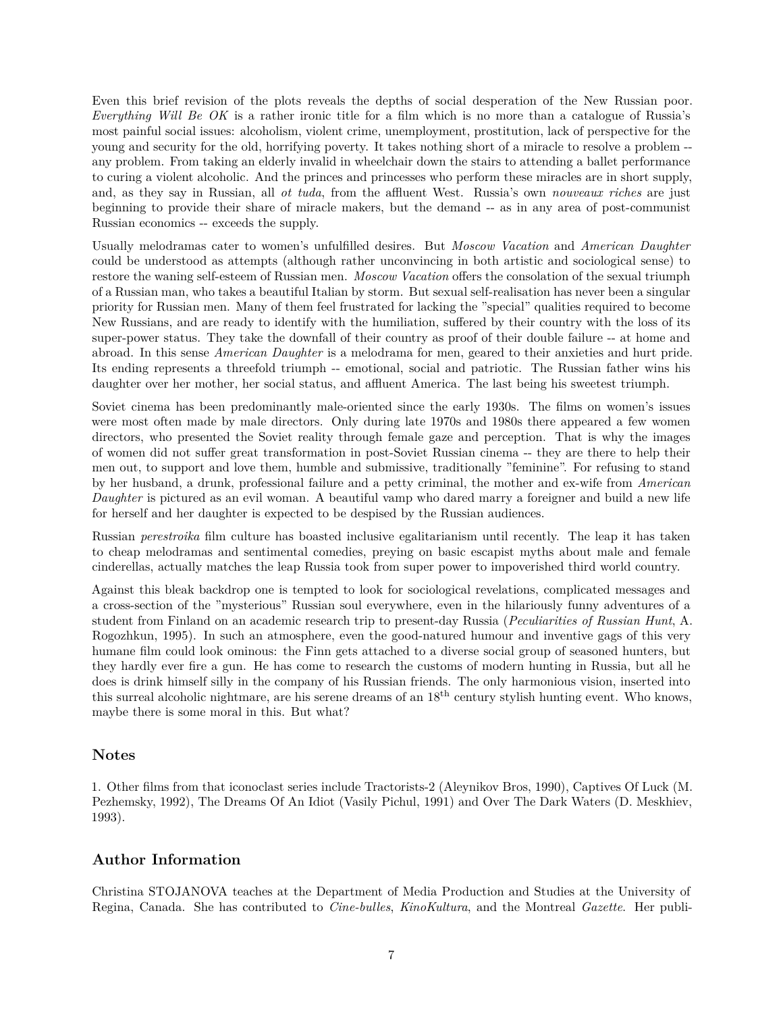Even this brief revision of the plots reveals the depths of social desperation of the New Russian poor. *Everything Will Be OK* is a rather ironic title for a film which is no more than a catalogue of Russia's most painful social issues: alcoholism, violent crime, unemployment, prostitution, lack of perspective for the young and security for the old, horrifying poverty. It takes nothing short of a miracle to resolve a problem - any problem. From taking an elderly invalid in wheelchair down the stairs to attending a ballet performance to curing a violent alcoholic. And the princes and princesses who perform these miracles are in short supply, and, as they say in Russian, all *ot tuda*, from the affluent West. Russia's own *nouveaux riches* are just beginning to provide their share of miracle makers, but the demand -- as in any area of post-communist Russian economics -- exceeds the supply.

Usually melodramas cater to women's unfulfilled desires. But *Moscow Vacation* and *American Daughter* could be understood as attempts (although rather unconvincing in both artistic and sociological sense) to restore the waning self-esteem of Russian men. *Moscow Vacation* offers the consolation of the sexual triumph of a Russian man, who takes a beautiful Italian by storm. But sexual self-realisation has never been a singular priority for Russian men. Many of them feel frustrated for lacking the "special" qualities required to become New Russians, and are ready to identify with the humiliation, suffered by their country with the loss of its super-power status. They take the downfall of their country as proof of their double failure -- at home and abroad. In this sense *American Daughter* is a melodrama for men, geared to their anxieties and hurt pride. Its ending represents a threefold triumph -- emotional, social and patriotic. The Russian father wins his daughter over her mother, her social status, and affluent America. The last being his sweetest triumph.

Soviet cinema has been predominantly male-oriented since the early 1930s. The films on women's issues were most often made by male directors. Only during late 1970s and 1980s there appeared a few women directors, who presented the Soviet reality through female gaze and perception. That is why the images of women did not suffer great transformation in post-Soviet Russian cinema -- they are there to help their men out, to support and love them, humble and submissive, traditionally "feminine". For refusing to stand by her husband, a drunk, professional failure and a petty criminal, the mother and ex-wife from *American Daughter* is pictured as an evil woman. A beautiful vamp who dared marry a foreigner and build a new life for herself and her daughter is expected to be despised by the Russian audiences.

Russian *perestroika* film culture has boasted inclusive egalitarianism until recently. The leap it has taken to cheap melodramas and sentimental comedies, preying on basic escapist myths about male and female cinderellas, actually matches the leap Russia took from super power to impoverished third world country.

Against this bleak backdrop one is tempted to look for sociological revelations, complicated messages and a cross-section of the "mysterious" Russian soul everywhere, even in the hilariously funny adventures of a student from Finland on an academic research trip to present-day Russia (*Peculiarities of Russian Hunt*, A. Rogozhkun, 1995). In such an atmosphere, even the good-natured humour and inventive gags of this very humane film could look ominous: the Finn gets attached to a diverse social group of seasoned hunters, but they hardly ever fire a gun. He has come to research the customs of modern hunting in Russia, but all he does is drink himself silly in the company of his Russian friends. The only harmonious vision, inserted into this surreal alcoholic nightmare, are his serene dreams of an 18th century stylish hunting event. Who knows, maybe there is some moral in this. But what?

# **Notes**

1. Other films from that iconoclast series include Tractorists-2 (Aleynikov Bros, 1990), Captives Of Luck (M. Pezhemsky, 1992), The Dreams Of An Idiot (Vasily Pichul, 1991) and Over The Dark Waters (D. Meskhiev, 1993).

# **Author Information**

Christina STOJANOVA teaches at the Department of Media Production and Studies at the University of Regina, Canada. She has contributed to *Cine-bulles*, *KinoKultura*, and the Montreal *Gazette*. Her publi-